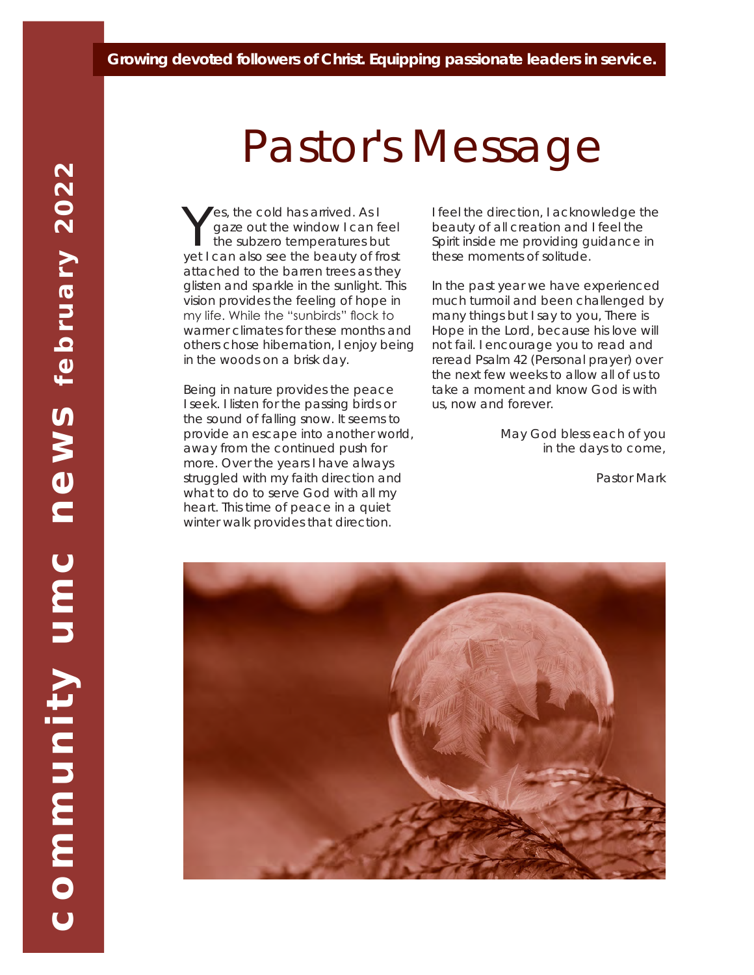#### *Growing devoted followers of Christ. Equipping passionate leaders in service.*

# Pastor's Message

Yes, the cold has arrived. As I<br>the subzero temperatures but<br>yet I can also see the beauty of from gaze out the window I can feel yet I can also see the beauty of frost attached to the barren trees as they glisten and sparkle in the sunlight. This vision provides the feeling of hope in my life. While the "sunbirds" flock to warmer climates for these months and others chose hibernation, I enjoy being in the woods on a brisk day.

Being in nature provides the peace I seek. I listen for the passing birds or the sound of falling snow. It seems to provide an escape into another world, away from the continued push for more. Over the years I have always struggled with my faith direction and what to do to serve God with all my heart. This time of peace in a quiet winter walk provides that direction.

I feel the direction, I acknowledge the beauty of all creation and I feel the Spirit inside me providing guidance in these moments of solitude.

In the past year we have experienced much turmoil and been challenged by many things but I say to you, There is Hope in the Lord, because his love will not fail. I encourage you to read and reread Psalm 42 (Personal prayer) over the next few weeks to allow all of us to take a moment and know God is with us, now and forever.

> *May God bless each of you in the days to come,*

> > *Pastor Mark*

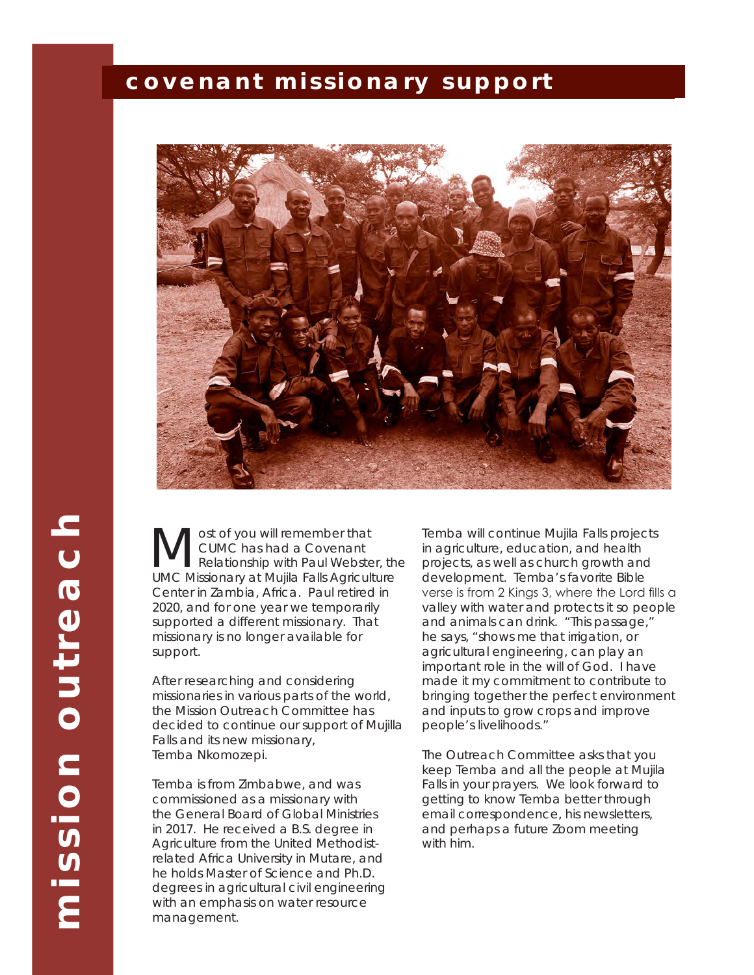# *covenant missionary support*



mission outreach **mission outreach**

**M** CUMC has had a Covenant<br>
Relationship with Paul Webster, the<br> **ILMC Missionary at Muilla Falls Agriculture** CUMC has had a Covenant UMC Missionary at Mujila Falls Agriculture Center in Zambia, Africa. Paul retired in 2020, and for one year we temporarily supported a different missionary. That missionary is no longer available for support.

After researching and considering missionaries in various parts of the world, the Mission Outreach Committee has decided to continue our support of Mujilla Falls and its new missionary, Temba Nkomozepi.

Temba is from Zimbabwe, and was commissioned as a missionary with the General Board of Global Ministries in 2017. He received a B.S. degree in Agriculture from the United Methodistrelated Africa University in Mutare, and he holds Master of Science and Ph.D. degrees in agricultural civil engineering with an emphasis on water resource management.

Temba will continue Mujila Falls projects in agriculture, education, and health projects, as well as church growth and development. Temba's favorite Bible verse is from 2 Kings 3, where the Lord fills a valley with water and protects it so people and animals can drink. "This passage," he says, "shows me that irrigation, or agricultural engineering, can play an important role in the will of God. I have made it my commitment to contribute to bringing together the perfect environment and inputs to grow crops and improve people's livelihoods."

The Outreach Committee asks that you keep Temba and all the people at Mujila Falls in your prayers. We look forward to getting to know Temba better through email correspondence, his newsletters, and perhaps a future Zoom meeting with him.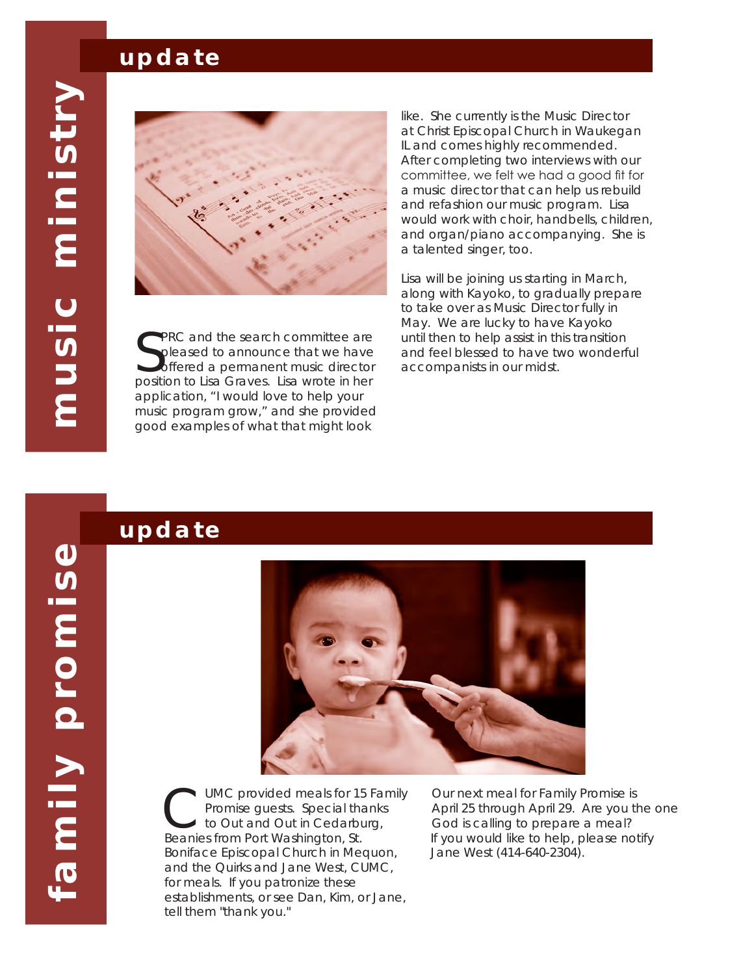# *update*



SPRC and the search committee are<br>Spleased to announce that we have<br>position to Lisa Graves. Lisa wrote in her PRC and the search committee are pleased to announce that we have offered a permanent music director application, "I would love to help your music program grow," and she provided good examples of what that might look

like. She currently is the Music Director at Christ Episcopal Church in Waukegan IL and comes highly recommended. After completing two interviews with our committee, we felt we had a good fit for a music director that can help us rebuild and refashion our music program. Lisa would work with choir, handbells, children, and organ/piano accompanying. She is a talented singer, too.

Lisa will be joining us starting in March, along with Kayoko, to gradually prepare to take over as Music Director fully in May. We are lucky to have Kayoko until then to help assist in this transition and feel blessed to have two wonderful accompanists in our midst.

### *update*



UMC provided meals for 15 Family Promise guests. Special thanks to Out and Out in Cedarburg, Beanies from Port Washington, St. Boniface Episcopal Church in Mequon, and the Quirks and Jane West, CUMC, for meals. If you patronize these establishments, or see Dan, Kim, or Jane, tell them "thank you."

Our next meal for Family Promise is April 25 through April 29. Are you the one God is calling to prepare a meal? If you would like to help, please notify Jane West (414-640-2304).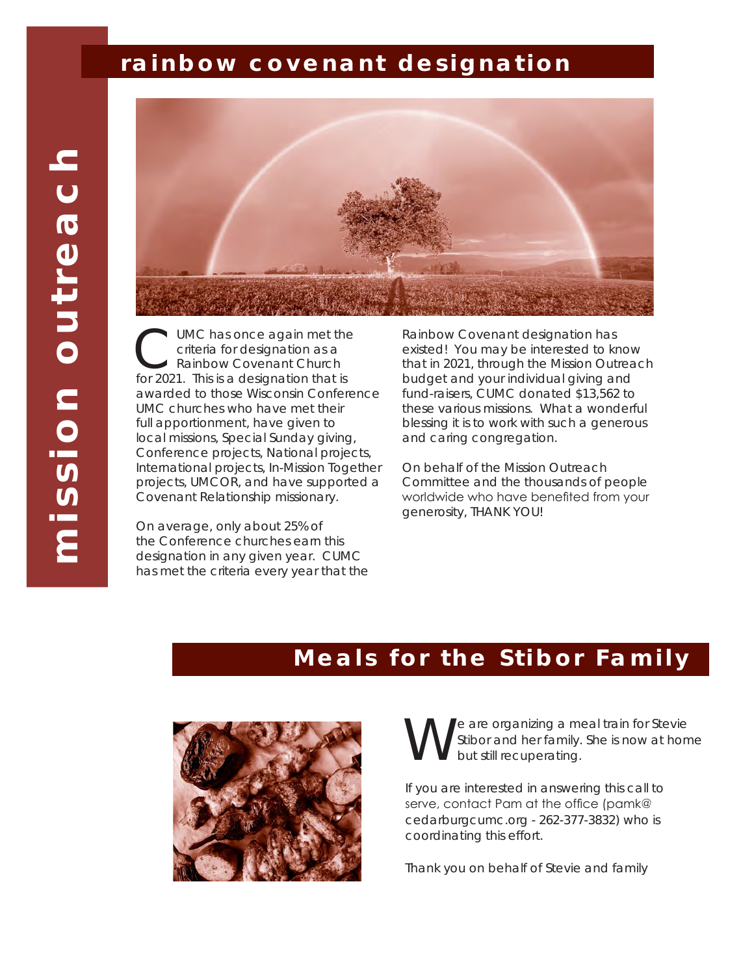# *rainbow covenant designation*



CUMC has once again met the<br>
criteria for designation as a<br>
for 2021. This is a designation that is criteria for designation as a Rainbow Covenant Church awarded to those Wisconsin Conference UMC churches who have met their full apportionment, have given to local missions, Special Sunday giving, Conference projects, National projects, International projects, In-Mission Together projects, UMCOR, and have supported a Covenant Relationship missionary.

On average, only about 25% of the Conference churches earn this designation in any given year. CUMC has met the criteria every year that the Rainbow Covenant designation has existed! You may be interested to know that in 2021, through the Mission Outreach budget and your individual giving and fund-raisers, CUMC donated \$13,562 to these various missions. What a wonderful blessing it is to work with such a generous and caring congregation.

On behalf of the Mission Outreach Committee and the thousands of people worldwide who have benefited from your generosity, THANK YOU!

# *Meals for the Stibor Family*



e are organizing a meal train for Stevie Stibor and her family. She is now at home but still recuperating.

If you are interested in answering this call to serve, contact Pam at the office (pamk@ cedarburgcumc.org - 262-377-3832) who is coordinating this effort.

Thank you on behalf of Stevie and family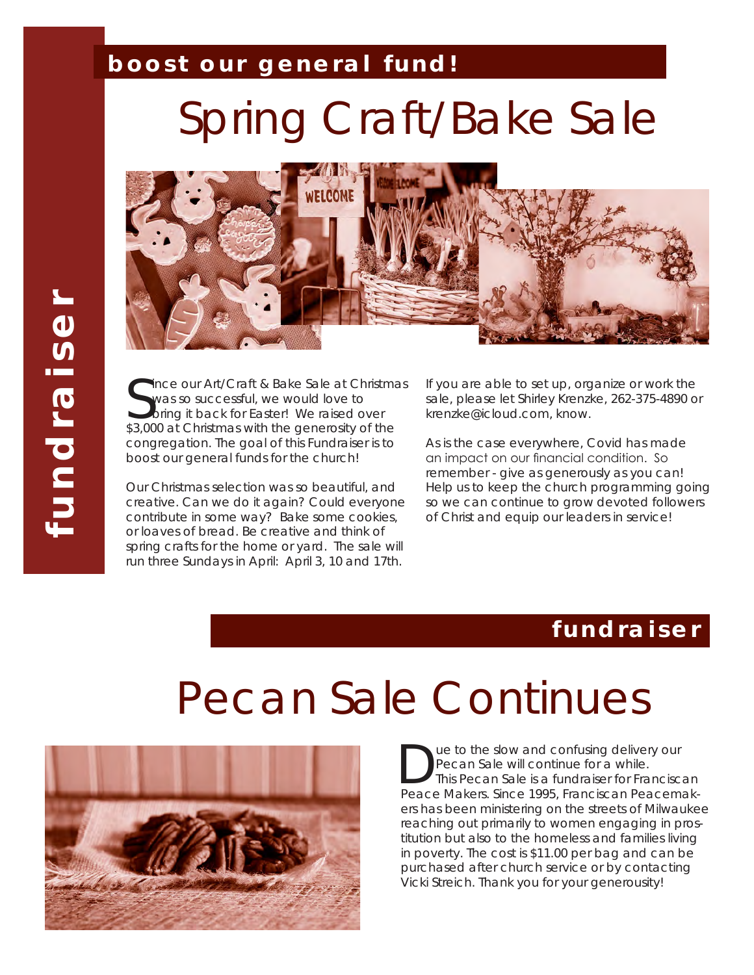# *boost our general fund!*

# Spring Craft/Bake Sale



Since our Art/Craft & Bake Sale at Christma<br>Swas so successful, we would love to<br>\$3,000 at Christmas with the generosity of the ince our Art/Craft & Bake Sale at Christmas was so successful, we would love to I bring it back for Easter! We raised over congregation. The goal of this Fundraiser is to boost our general funds for the church!

Our Christmas selection was so beautiful, and creative. Can we do it again? Could everyone contribute in some way? Bake some cookies, or loaves of bread. Be creative and think of spring crafts for the home or yard. The sale will run three Sundays in April: April 3, 10 and 17th.

If you are able to set up, organize or work the sale, please let Shirley Krenzke, 262-375-4890 or krenzke@icloud.com, know.

As is the case everywhere, Covid has made an impact on our financial condition. So remember - give as generously as you can! Help us to keep the church programming going so we can continue to grow devoted followers of Christ and equip our leaders in service!

# *fundraiser*

# Pecan Sale Continues



**Due to the slow and confusing delivery our<br>
Pecan Sale will continue for a while.<br>
This Pecan Sale is a fundraiser for Franciscan<br>
Peace Makers, Since 1995, Franciscan Peacemak.** Pecan Sale will continue for a while. Peace Makers. Since 1995, Franciscan Peacemakers has been ministering on the streets of Milwaukee reaching out primarily to women engaging in prostitution but also to the homeless and families living in poverty. The cost is \$11.00 per bag and can be purchased after church service or by contacting Vicki Streich. Thank you for your generousity!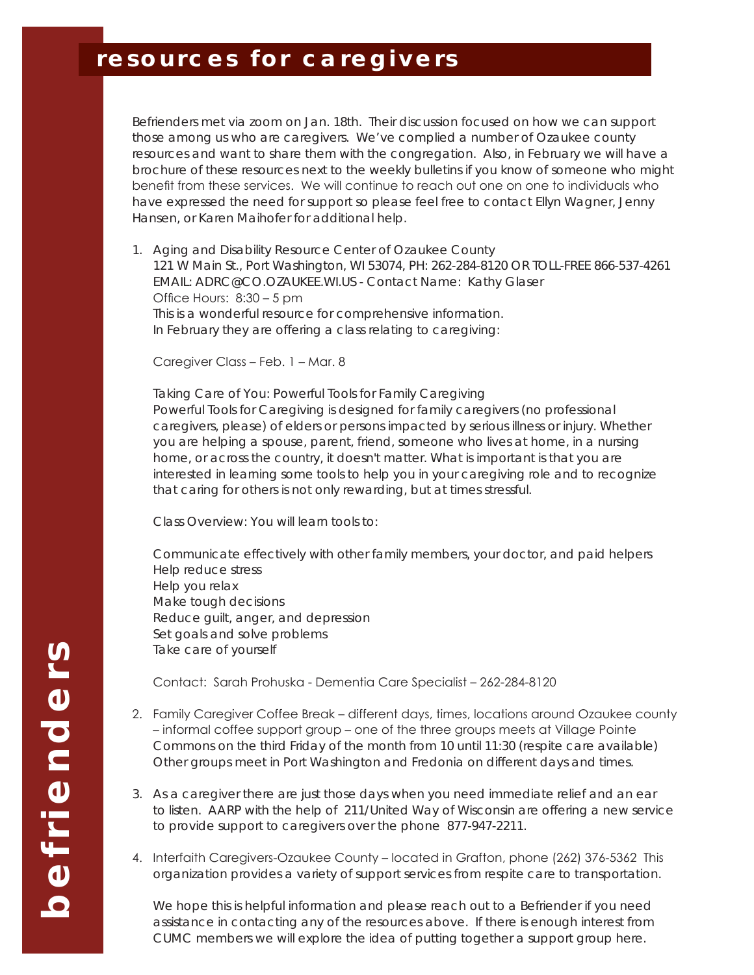# *resources for caregivers*

Befrienders met via zoom on Jan. 18th. Their discussion focused on how we can support those among us who are caregivers. We've complied a number of Ozaukee county resources and want to share them with the congregation. Also, in February we will have a brochure of these resources next to the weekly bulletins if you know of someone who might benefit from these services. We will continue to reach out one on one to individuals who have expressed the need for support so please feel free to contact Ellyn Wagner, Jenny Hansen, or Karen Maihofer for additional help.

1. Aging and Disability Resource Center of Ozaukee County 121 W Main St., Port Washington, WI 53074, PH: 262-284-8120 OR TOLL-FREE 866-537-4261 EMAIL: ADRC@CO.OZAUKEE.WI.US - Contact Name: Kathy Glaser Office Hours: 8:30 – 5 pm This is a wonderful resource for comprehensive information. In February they are offering a class relating to caregiving:

Caregiver Class – Feb. 1 – Mar. 8

Taking Care of You: Powerful Tools for Family Caregiving Powerful Tools for Caregiving is designed for family caregivers (no professional caregivers, please) of elders or persons impacted by serious illness or injury. Whether you are helping a spouse, parent, friend, someone who lives at home, in a nursing home, or across the country, it doesn't matter. What is important is that you are interested in learning some tools to help you in your caregiving role and to recognize that caring for others is not only rewarding, but at times stressful.

Class Overview: You will learn tools to:

Communicate effectively with other family members, your doctor, and paid helpers Help reduce stress Help you relax Make tough decisions Reduce guilt, anger, and depression Set goals and solve problems Take care of yourself

Contact: Sarah Prohuska - Dementia Care Specialist – 262-284-8120

- 2. Family Caregiver Coffee Break different days, times, locations around Ozaukee county – informal coffee support group – one of the three groups meets at Village Pointe Commons on the third Friday of the month from 10 until 11:30 (respite care available) Other groups meet in Port Washington and Fredonia on different days and times.
- 3. As a caregiver there are just those days when you need immediate relief and an ear to listen. AARP with the help of 211/United Way of Wisconsin are offering a new service to provide support to caregivers over the phone 877-947-2211.
- 4. Interfaith Caregivers-Ozaukee County located in Grafton, phone (262) 376-5362 This organization provides a variety of support services from respite care to transportation.

We hope this is helpful information and please reach out to a Befriender if you need assistance in contacting any of the resources above. If there is enough interest from CUMC members we will explore the idea of putting together a support group here.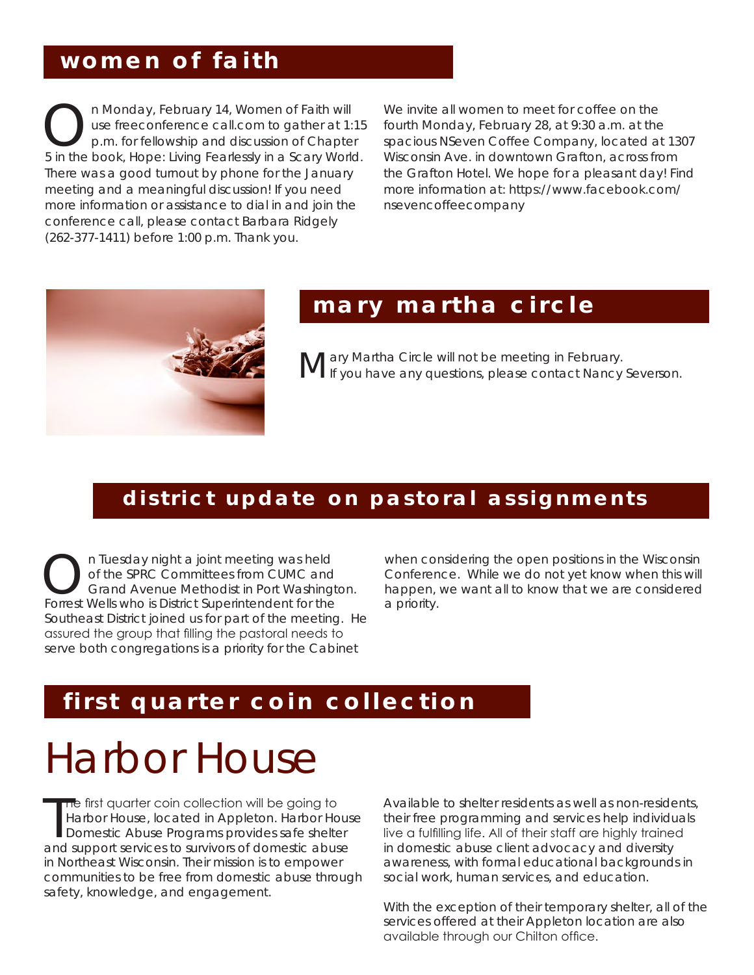# *women of faith*

On Monday, February 14, Women of Faith will<br>p.m. for fellowship and discussion of Chapte<br>bin the book. Hone: Living Eestlessky in a Scany Work use freeconference call.com to gather at 1:15 p.m. for fellowship and discussion of Chapter 5 in the book, *Hope: Living Fearlessly in a Scary World.* There was a good turnout by phone for the January meeting and a meaningful discussion! If you need more information or assistance to dial in and join the conference call, please contact Barbara Ridgely (262-377-1411) before 1:00 p.m. Thank you.

We invite all women to meet for coffee on the fourth Monday, February 28, at 9:30 a.m. at the spacious NSeven Coffee Company, located at 1307 Wisconsin Ave. in downtown Grafton, across from the Grafton Hotel. We hope for a pleasant day! Find more information at: https://www.facebook.com/ nsevencoffeecompany



# *mary martha circle*

**Mary Martha Circle will not be meeting in February.**<br>Meryou have any questions, please contact Nancy Severson.

### *district update on pastoral assignments*

On Tuesday night a joint meeting was held<br>
of the SPRC Committees from CUMC and<br>
Grand Avenue Methodist in Port Washington.<br>
Forrest Wells who is District Superintendent for the of the SPRC Committees from CUMC and Forrest Wells who is District Superintendent for the Southeast District joined us for part of the meeting. He assured the group that filling the pastoral needs to serve both congregations is a priority for the Cabinet

when considering the open positions in the Wisconsin Conference. While we do not yet know when this will happen, we want all to know that we are considered a priority.

# *first quarter coin collection*

# Harbor House

The first quarter coin collection will be going to<br>Harbor House, located in Appleton. Harbor House<br>Domestic Abuse Programs provides safe shelter<br>and support services to survivors of domestic abuse he first quarter coin collection will be going to Harbor House, located in Appleton. Harbor House Domestic Abuse Programs provides safe shelter in Northeast Wisconsin. Their mission is to empower communities to be free from domestic abuse through safety, knowledge, and engagement.

Available to shelter residents as well as non-residents, their free programming and services help individuals live a fulfilling life. All of their staff are highly trained in domestic abuse client advocacy and diversity awareness, with formal educational backgrounds in social work, human services, and education.

With the exception of their temporary shelter, all of the services offered at their Appleton location are also available through our Chilton office.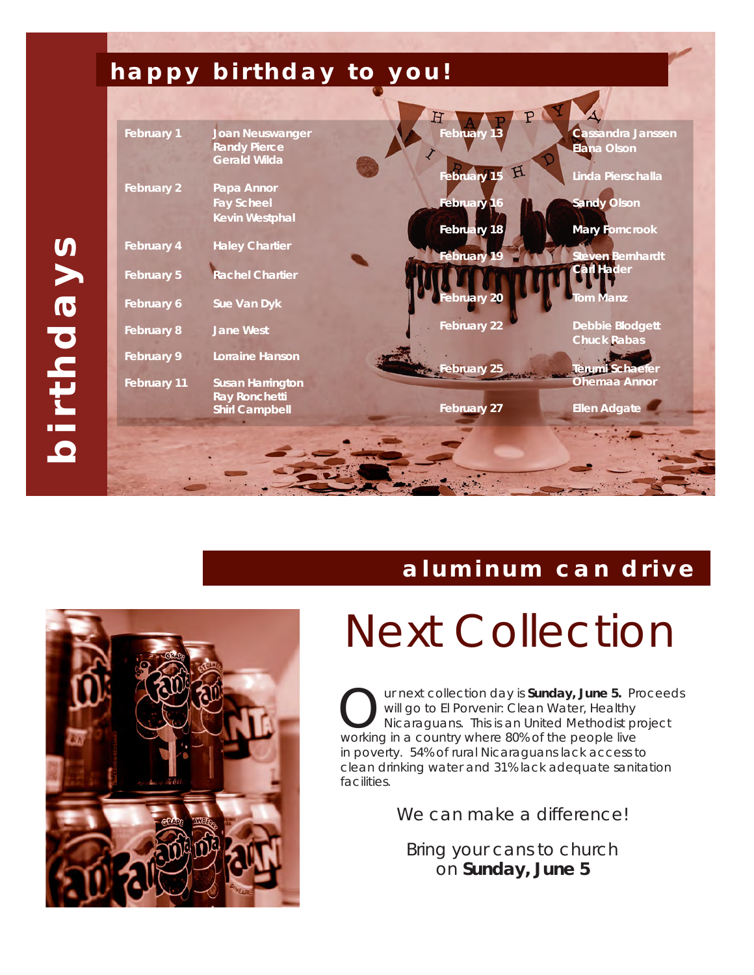

# *aluminum can drive*



# Next Collection

ur next collection day is **Sunday, June 5.** Proceeds will go to El Porvenir: Clean Water, Healthy Nicaraguans. This is an United Methodist project working in a country where 80% of the people live in poverty. 54% of rural Nicaraguans lack access to clean drinking water and 31% lack adequate sanitation facilities.

We can make a difference!

Bring your cans to church on **Sunday, June 5**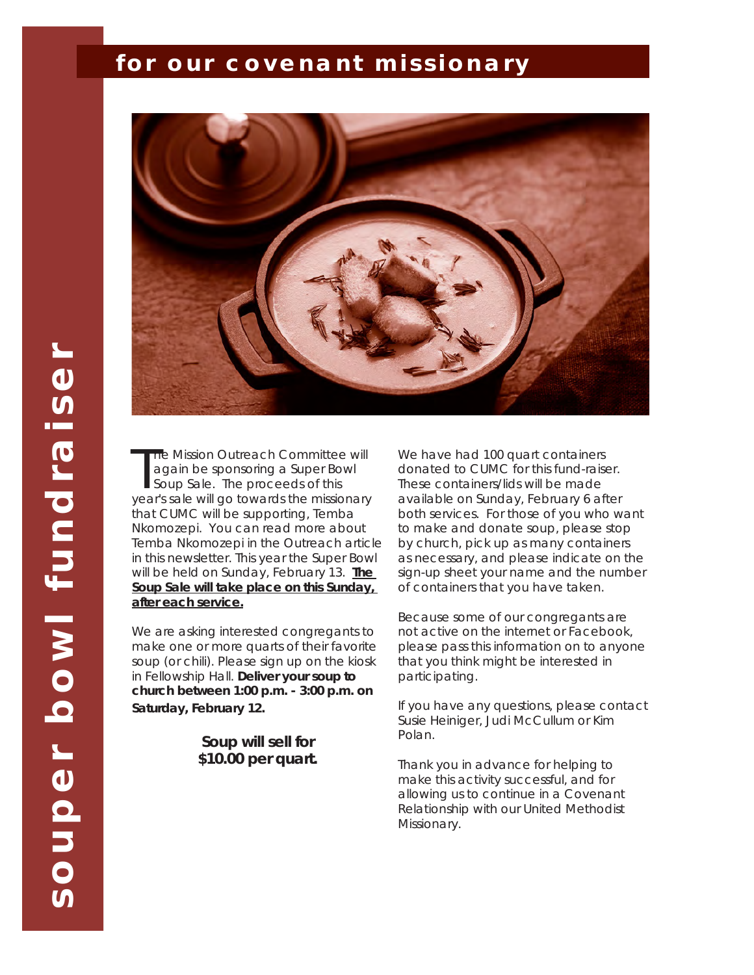### *for our covenant missionary*



The Mission Outreach Committee will<br>again be sponsoring a Super Bowl<br>Soup Sale. The proceeds of this<br>year's sale will go towards the missionary he Mission Outreach Committee will again be sponsoring a Super Bowl Soup Sale. The proceeds of this that CUMC will be supporting, Temba Nkomozepi. You can read more about Temba Nkomozepi in the Outreach article in this newsletter. This year the Super Bowl will be held on Sunday, February 13. **The Soup Sale will take place on this Sunday, after each service.**

We are asking interested congregants to make one or more quarts of their favorite soup (or chili). Please sign up on the kiosk in Fellowship Hall. **Deliver your soup to church between 1:00 p.m. - 3:00 p.m. on Saturday, February 12.** 

> **Soup will sell for \$10.00 per quart.**

We have had 100 quart containers donated to CUMC for this fund-raiser. These containers/lids will be made available on Sunday, February 6 after both services. For those of you who want to make and donate soup, please stop by church, pick up as many containers as necessary, and please indicate on the sign-up sheet your name and the number of containers that you have taken.

Because some of our congregants are not active on the internet or Facebook, please pass this information on to anyone that you think might be interested in participating.

If you have any questions, please contact Susie Heiniger, Judi McCullum or Kim Polan.

Thank you in advance for helping to make this activity successful, and for allowing us to continue in a Covenant Relationship with our United Methodist Missionary.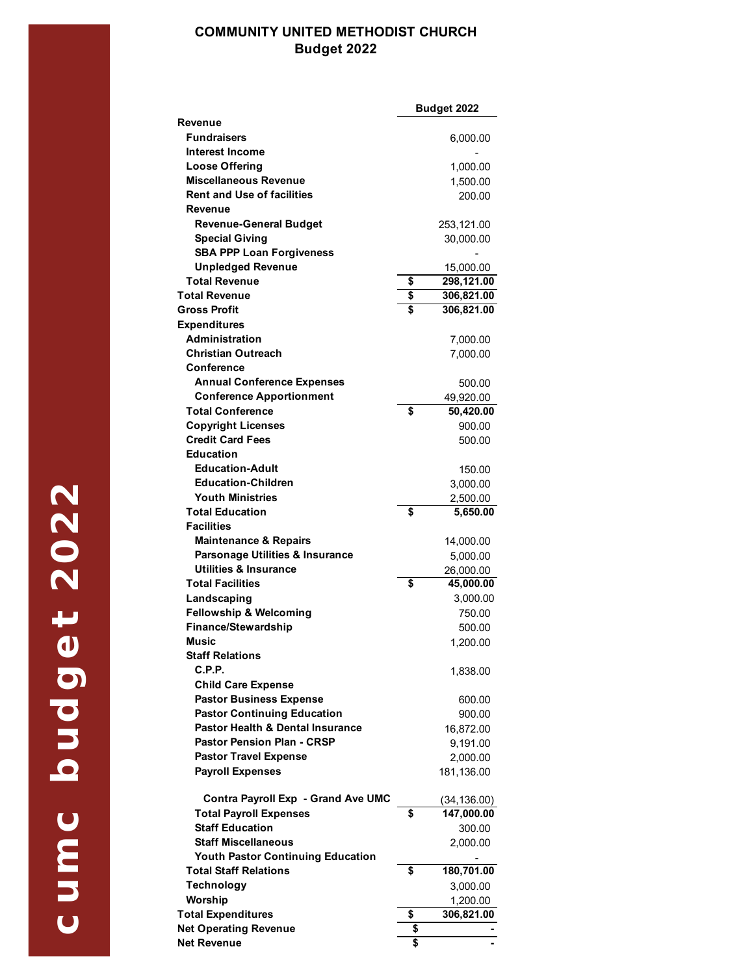#### **COMMUNITY UNITED METHODIST CHURCH Budget 2022**

|                                          | <b>Budget 2022</b> |
|------------------------------------------|--------------------|
| Revenue                                  |                    |
| <b>Fundraisers</b>                       | 6,000.00           |
| <b>Interest Income</b>                   |                    |
| <b>Loose Offering</b>                    | 1,000.00           |
| Miscellaneous Revenue                    | 1,500.00           |
| <b>Rent and Use of facilities</b>        | 200.00             |
| Revenue                                  |                    |
|                                          |                    |
| <b>Revenue-General Budget</b>            | 253,121.00         |
| <b>Special Giving</b>                    | 30,000.00          |
| <b>SBA PPP Loan Forgiveness</b>          |                    |
| <b>Unpledged Revenue</b>                 | 15,000.00          |
| <b>Total Revenue</b>                     | \$<br>298,121.00   |
| <b>Total Revenue</b>                     | \$<br>306,821.00   |
| <b>Gross Profit</b>                      | \$<br>306,821.00   |
| <b>Expenditures</b>                      |                    |
| <b>Administration</b>                    | 7,000.00           |
| <b>Christian Outreach</b>                | 7,000.00           |
| Conference                               |                    |
| <b>Annual Conference Expenses</b>        | 500.00             |
| <b>Conference Apportionment</b>          | 49,920.00          |
| <b>Total Conference</b>                  | \$<br>50,420.00    |
| <b>Copyright Licenses</b>                | 900.00             |
| <b>Credit Card Fees</b>                  |                    |
| <b>Education</b>                         | 500.00             |
|                                          |                    |
| <b>Education-Adult</b>                   | 150.00             |
| <b>Education-Children</b>                | 3,000.00           |
| <b>Youth Ministries</b>                  | 2,500.00           |
| <b>Total Education</b>                   | \$<br>5,650.00     |
| <b>Facilities</b>                        |                    |
| <b>Maintenance &amp; Repairs</b>         | 14,000.00          |
| Parsonage Utilities & Insurance          | 5,000.00           |
| <b>Utilities &amp; Insurance</b>         | 26,000.00          |
| <b>Total Facilities</b>                  | \$<br>45,000.00    |
| Landscaping                              | 3,000.00           |
| <b>Fellowship &amp; Welcoming</b>        | 750.00             |
| <b>Finance/Stewardship</b>               | 500.00             |
| <b>Music</b>                             | 1,200.00           |
| Staff Relations                          |                    |
| C.P.P.                                   | 1,838.00           |
| <b>Child Care Expense</b>                |                    |
| <b>Pastor Business Expense</b>           | 600.00             |
| <b>Pastor Continuing Education</b>       |                    |
| Pastor Health & Dental Insurance         | 900.00             |
|                                          | 16,872.00          |
| <b>Pastor Pension Plan - CRSP</b>        | 9,191.00           |
| <b>Pastor Travel Expense</b>             | 2,000.00           |
| <b>Payroll Expenses</b>                  | 181,136.00         |
|                                          |                    |
| Contra Payroll Exp - Grand Ave UMC       | (34, 136.00)       |
| <b>Total Payroll Expenses</b>            | \$<br>147,000.00   |
| <b>Staff Education</b>                   | 300.00             |
| <b>Staff Miscellaneous</b>               | 2,000.00           |
| <b>Youth Pastor Continuing Education</b> |                    |
| <b>Total Staff Relations</b>             | \$<br>180,701.00   |
| <b>Technology</b>                        | 3,000.00           |
| Worship                                  | 1,200.00           |
| <b>Total Expenditures</b>                | \$<br>306,821.00   |
| <b>Net Operating Revenue</b>             | \$                 |
| <b>Net Revenue</b>                       | \$                 |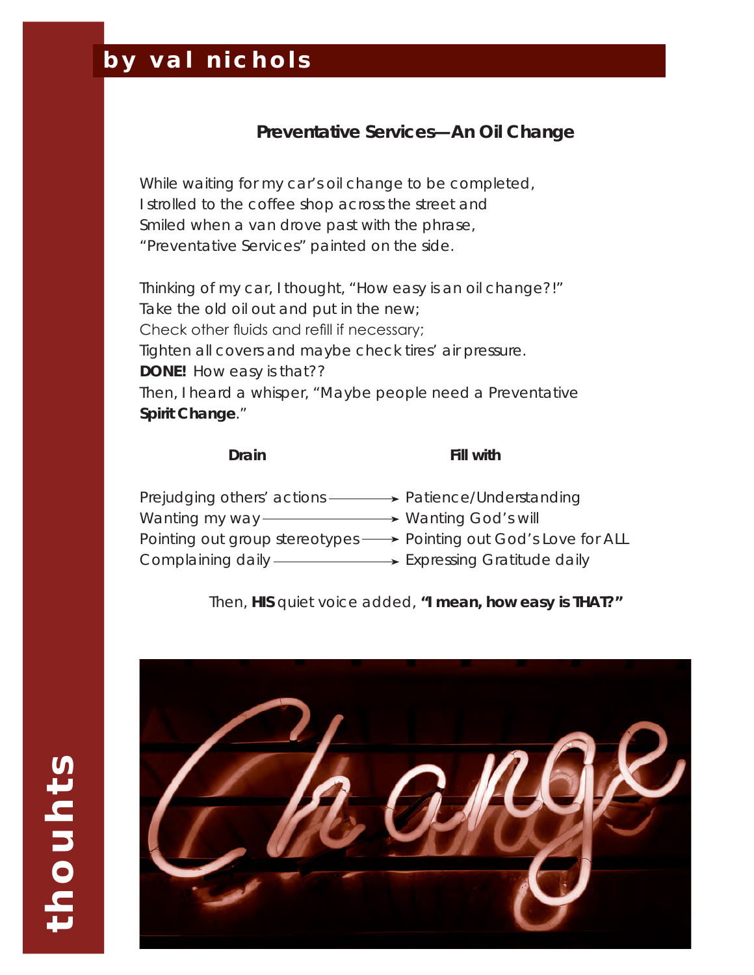# *by val nichols*

#### **Preventative Services—An Oil Change**

While waiting for my car's oil change to be completed, I strolled to the coffee shop across the street and Smiled when a van drove past with the phrase, "Preventative Services" painted on the side.

Thinking of my car, I thought, "How easy is an oil change?!" Take the old oil out and put in the new; Check other fluids and refill if necessary; Tighten all covers and maybe check tires' air pressure. **DONE!** How easy is that?? Then, I heard a whisper, "Maybe people need a Preventative **Spirit Change**."

#### **Drain Fill with**

| Prejudging others' actions ————> Patience/Understanding |                                                                  |
|---------------------------------------------------------|------------------------------------------------------------------|
| Wanting my way ——————                                   | → Wanting God's will                                             |
|                                                         | Pointing out group stereotypes → Pointing out God's Love for ALL |
| Complaining daily — Expressing Gratitude daily          |                                                                  |

Then, **HIS** quiet voice added, **"I mean, how easy is THAT?"**